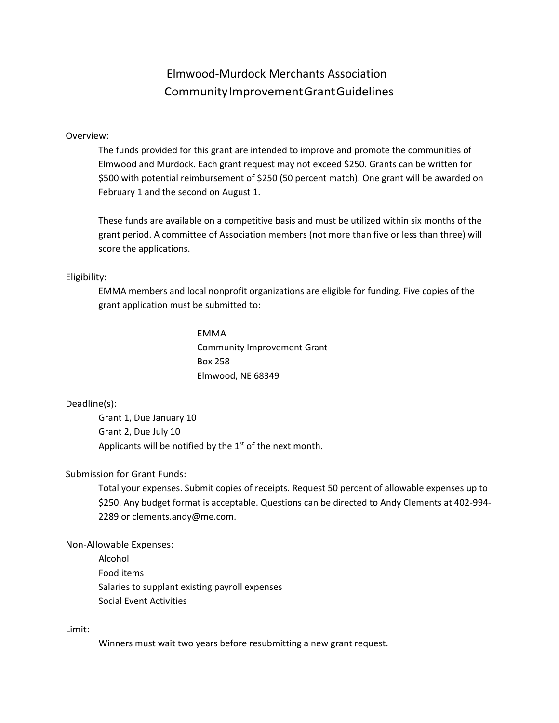## Elmwood-Murdock Merchants Association CommunityImprovementGrantGuidelines

### Overview:

The funds provided for this grant are intended to improve and promote the communities of Elmwood and Murdock. Each grant request may not exceed \$250. Grants can be written for \$500 with potential reimbursement of \$250 (50 percent match). One grant will be awarded on February 1 and the second on August 1.

These funds are available on a competitive basis and must be utilized within six months of the grant period. A committee of Association members (not more than five or less than three) will score the applications.

### Eligibility:

EMMA members and local nonprofit organizations are eligible for funding. Five copies of the grant application must be submitted to:

> EMMA Community Improvement Grant Box 258 Elmwood, NE 68349

## Deadline(s):

Grant 1, Due January 10 Grant 2, Due July 10 Applicants will be notified by the  $1<sup>st</sup>$  of the next month.

## Submission for Grant Funds:

Total your expenses. Submit copies of receipts. Request 50 percent of allowable expenses up to \$250. Any budget format is acceptable. Questions can be directed to Andy Clements at 402-994- 2289 or [clements.andy@me.com.](mailto:clements.andy@me.com)

#### Non-Allowable Expenses:

Alcohol Food items Salaries to supplant existing payroll expenses Social Event Activities

Limit:

Winners must wait two years before resubmitting a new grant request.